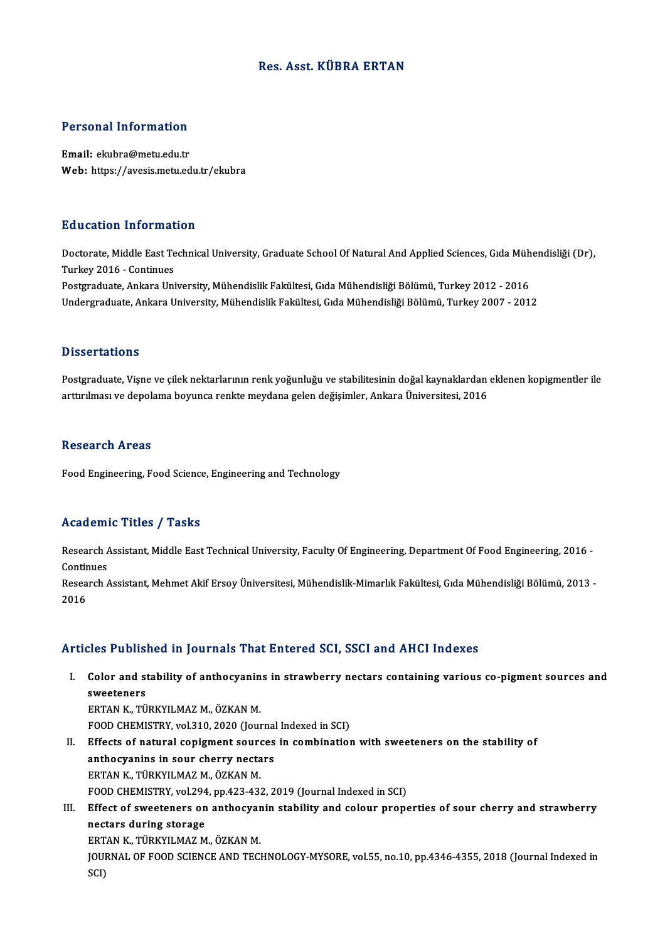## Res. Asst. KÜBRA ERTAN

# Personal Information

Personal Information<br>Email: ekubra@metu.edu.tr<br>Web: https://avesis.metu.ed Email: ekubra@metu.edu.tr<br>Web: https://avesis.metu.edu.tr/ekubra

#### Education Information

E**ducation Information**<br>Doctorate, Middle East Technical University, Graduate School Of Natural And Applied Sciences, Gıda Mühendisliği (Dr),<br>Turkey 2016, Gortinues Turkey<br>Doctorate, Middle East Te<br>Turkey 2016 - Continues<br>Bostaraduate, Ankara Uni Turkey 2016 - Continues<br>Postgraduate, Ankara University, Mühendislik Fakültesi, Gıda Mühendisliği Bölümü, Turkey 2012 - 2016 Undergraduate, Ankara University, Mühendislik Fakültesi, Gıda Mühendisliği Bölümü, Turkey 2007 - 2012

#### **Dissertations**

Postgraduate, Vişne ve çilek nektarlarının renk yoğunluğu ve stabilitesinin doğal kaynaklardan eklenen kopigmentler ile arttırılması ve depolama boyunca renkte meydana gelen değişimler, Ankara Üniversitesi, 2016

#### **Research Areas**

Food Engineering, Food Science, Engineering and Technology

## Academic Titles / Tasks

**Academic Titles / Tasks**<br>Research Assistant, Middle East Technical University, Faculty Of Engineering, Department Of Food Engineering, 2016 -<br>Continues Research Andrews<br>Continues<br>Research Research Assistant, Middle East Technical University, Faculty Of Engineering, Department Of Food Engineering, 2016 -<br>Continues<br>Research Assistant, Mehmet Akif Ersoy Üniversitesi, Mühendislik-Mimarlık Fakültesi, Gıda Mühend

Continues<br>Research Assistant, Mehmet Akif Ersoy Üniversitesi, Mühendislik-Mimarlık Fakültesi, Gıda Mühendisliği Bölümü, 2013 -<br>2016

## Articles Published in Journals That Entered SCI, SSCI and AHCI Indexes

rticles Published in Journals That Entered SCI, SSCI and AHCI Indexes<br>I. Color and stability of anthocyanins in strawberry nectars containing various co-pigment sources and<br>syvectoners Second States<br>Color and st<br>Sweeteners<br>EPTAN V Color and stability of anthocyanin<br>sweeteners<br>ERTAN K., TÜRKYILMAZ M., ÖZKAN M.<br>EQQD CHEMISTEV .vol 310, 2020 (Jour

sweeteners<br>ERTAN K., TÜRKYILMAZ M., ÖZKAN M.<br>FOOD CHEMISTRY, vol.310, 2020 (Journal Indexed in SCI)<br>Effects of natural sonisment sourses in sombination

- ERTAN K., TÜRKYILMAZ M., ÖZKAN M.<br>FOOD CHEMISTRY, vol.310, 2020 (Journal Indexed in SCI)<br>II. Effects of natural copigment sources in combination with sweeteners on the stability of<br>anthocyanins in sour cherry nectars FOOD CHEMISTRY, vol.310, 2020 (Journal<br>Effects of natural copigment sources<br>anthocyanins in sour cherry nectars<br>EPTAN K. TÜRKVU MAZ M. ÖZKAN M ERTAN K., TÜRKYILMAZM., ÖZKANM. anthocyanins in sour cherry nectars<br>ERTAN K., TÜRKYILMAZ M., ÖZKAN M.<br>FOOD CHEMISTRY, vol.294, pp.423-432, 2019 (Journal Indexed in SCI)<br>Effect of sweeteners on anthosyanin stability and solour nuone ERTAN K., TÜRKYILMAZ M., ÖZKAN M.<br>FOOD CHEMISTRY, vol.294, pp.423-432, 2019 (Journal Indexed in SCI)<br>III. Effect of sweeteners on anthocyanin stability and colour properties of sour cherry and strawberry<br>postars during sta
- FOOD CHEMISTRY, vol.294<br>Effect of sweeteners on<br>nectars during storage<br>EPTAN K. TÜRKVU MAZ M Effect of sweeteners on anthocyar<br>nectars during storage<br>ERTAN K., TÜRKYILMAZ M., ÖZKAN M.<br>JOUPMAL OF FOOD SCIENCE AND TECK nectars during storage<br>ERTAN K., TÜRKYILMAZ M., ÖZKAN M.<br>JOURNAL OF FOOD SCIENCE AND TECHNOLOGY-MYSORE, vol.55, no.10, pp.4346-4355, 2018 (Journal Indexed in<br>SCD ERT<br>JOUI<br>SCI)